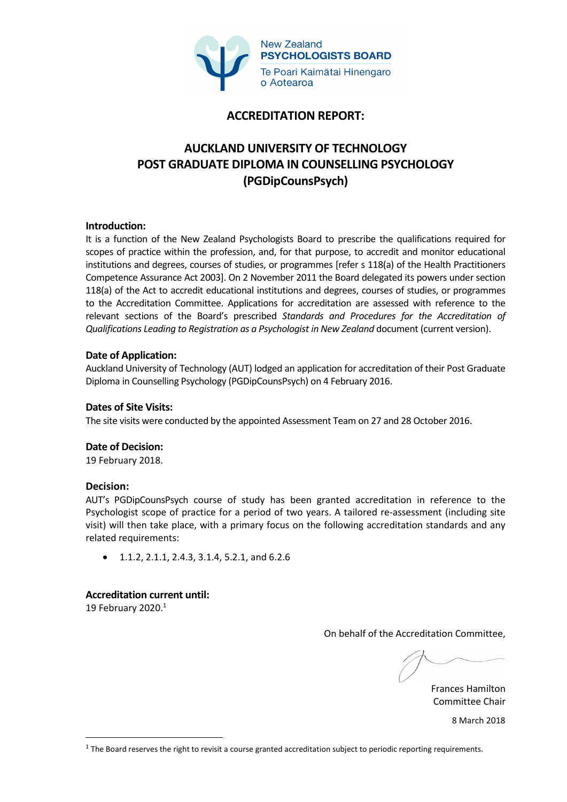

# **ACCREDITATION REPORT:**

# **AUCKLAND UNIVERSITY OF TECHNOLOGY POST GRADUATE DIPLOMA IN COUNSELLING PSYCHOLOGY (PGDipCounsPsych)**

## **Introduction:**

It is a function of the New Zealand Psychologists Board to prescribe the qualifications required for scopes of practice within the profession, and, for that purpose, to accredit and monitor educational institutions and degrees, courses of studies, or programmes [refer s 118(a) of the Health Practitioners Competence Assurance Act 2003]. On 2 November 2011 the Board delegated its powers under section 118(a) of the Act to accredit educational institutions and degrees, courses of studies, or programmes to the Accreditation Committee. Applications for accreditation are assessed with reference to the relevant sections of the Board's prescribed *Standards and Procedures for the Accreditation of Qualifications Leading to Registration as a Psychologist in New Zealand* document (current version).

## **Date of Application:**

Auckland University of Technology (AUT) lodged an application for accreditation of their Post Graduate Diploma in Counselling Psychology (PGDipCounsPsych) on 4 February 2016.

#### **Dates of Site Visits:**

The site visits were conducted by the appointed Assessment Team on 27 and 28 October 2016.

#### **Date of Decision:**

19 February 2018.

#### **Decision:**

AUT's PGDipCounsPsych course of study has been granted accreditation in reference to the Psychologist scope of practice for a period of two years. A tailored re-assessment (including site visit) will then take place, with a primary focus on the following accreditation standards and any related requirements:

1.1.2, 2.1.1, 2.4.3, 3.1.4, 5.2.1, and 6.2.6

#### **Accreditation current until:**

19 February 2020.<sup>1</sup>

On behalf of the Accreditation Committee,

Frances Hamilton Committee Chair

8 March 2018

 $1$  The Board reserves the right to revisit a course granted accreditation subject to periodic reporting requirements.